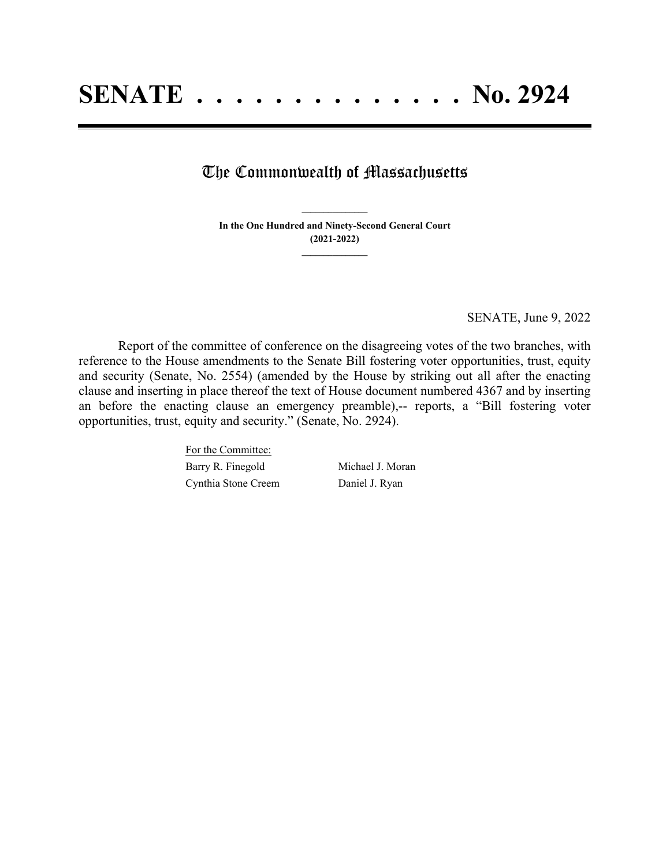## The Commonwealth of Massachusetts

**In the One Hundred and Ninety-Second General Court (2021-2022) \_\_\_\_\_\_\_\_\_\_\_\_\_\_\_**

**\_\_\_\_\_\_\_\_\_\_\_\_\_\_\_**

SENATE, June 9, 2022

Report of the committee of conference on the disagreeing votes of the two branches, with reference to the House amendments to the Senate Bill fostering voter opportunities, trust, equity and security (Senate, No. 2554) (amended by the House by striking out all after the enacting clause and inserting in place thereof the text of House document numbered 4367 and by inserting an before the enacting clause an emergency preamble),-- reports, a "Bill fostering voter opportunities, trust, equity and security." (Senate, No. 2924).

> For the Committee: Barry R. Finegold Michael J. Moran Cynthia Stone Creem Daniel J. Ryan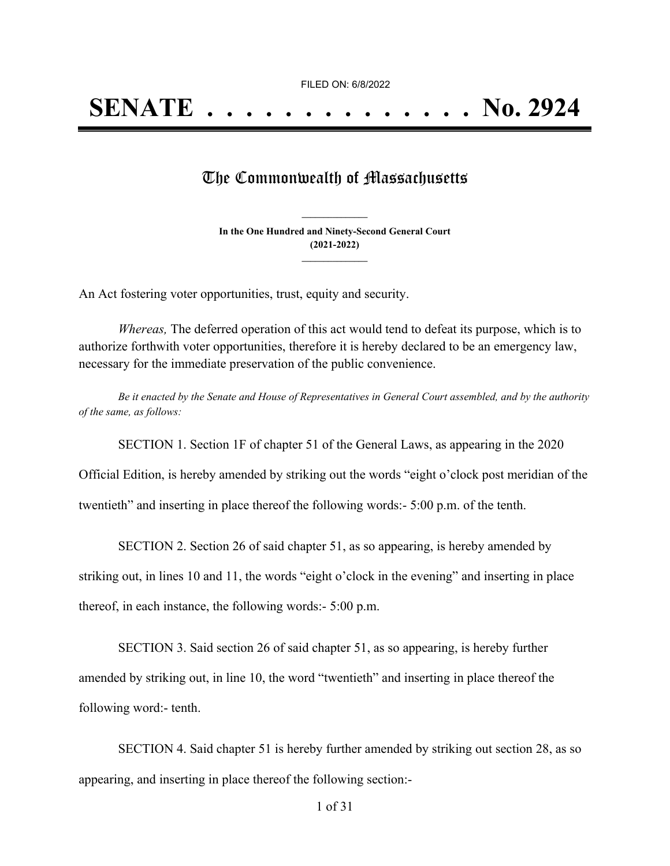FILED ON: 6/8/2022

## The Commonwealth of Massachusetts

**In the One Hundred and Ninety-Second General Court (2021-2022) \_\_\_\_\_\_\_\_\_\_\_\_\_\_\_**

**\_\_\_\_\_\_\_\_\_\_\_\_\_\_\_**

An Act fostering voter opportunities, trust, equity and security.

*Whereas,* The deferred operation of this act would tend to defeat its purpose, which is to authorize forthwith voter opportunities, therefore it is hereby declared to be an emergency law, necessary for the immediate preservation of the public convenience.

Be it enacted by the Senate and House of Representatives in General Court assembled, and by the authority *of the same, as follows:*

SECTION 1. Section 1F of chapter 51 of the General Laws, as appearing in the 2020

Official Edition, is hereby amended by striking out the words "eight o'clock post meridian of the

twentieth" and inserting in place thereof the following words:- 5:00 p.m. of the tenth.

SECTION 2. Section 26 of said chapter 51, as so appearing, is hereby amended by

striking out, in lines 10 and 11, the words "eight o'clock in the evening" and inserting in place

thereof, in each instance, the following words:- 5:00 p.m. 

SECTION 3. Said section 26 of said chapter 51, as so appearing, is hereby further amended by striking out, in line 10, the word "twentieth" and inserting in place thereof the following word:- tenth. 

SECTION 4. Said chapter 51 is hereby further amended by striking out section 28, as so appearing, and inserting in place thereof the following section:-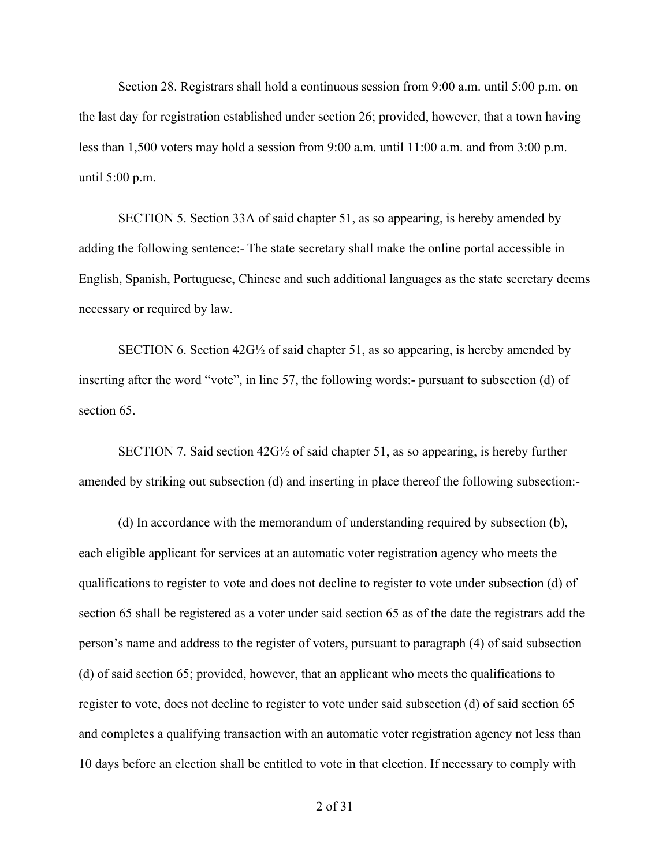Section 28. Registrars shall hold a continuous session from 9:00 a.m. until 5:00 p.m. on the last day for registration established under section 26; provided, however, that a town having less than 1,500 voters may hold a session from 9:00 a.m. until 11:00 a.m. and from 3:00 p.m. until 5:00 p.m. 

SECTION 5. Section 33A of said chapter 51, as so appearing, is hereby amended by adding the following sentence:- The state secretary shall make the online portal accessible in English, Spanish, Portuguese, Chinese and such additional languages as the state secretary deems necessary or required by law. 

SECTION 6. Section 42G½ of said chapter 51, as so appearing, is hereby amended by inserting after the word "vote", in line 57, the following words:- pursuant to subsection (d) of section 65. 

SECTION 7. Said section 42G½ of said chapter 51, as so appearing, is hereby further amended by striking out subsection (d) and inserting in place thereof the following subsection:- 

(d) In accordance with the memorandum of understanding required by subsection (b), each eligible applicant for services at an automatic voter registration agency who meets the qualifications to register to vote and does not decline to register to vote under subsection (d) of section 65 shall be registered as a voter under said section 65 as of the date the registrars add the person's name and address to the register of voters, pursuant to paragraph (4) of said subsection (d) of said section 65; provided, however, that an applicant who meets the qualifications to register to vote, does not decline to register to vote under said subsection (d) of said section 65 and completes a qualifying transaction with an automatic voter registration agency not less than 10 days before an election shall be entitled to vote in that election. If necessary to comply with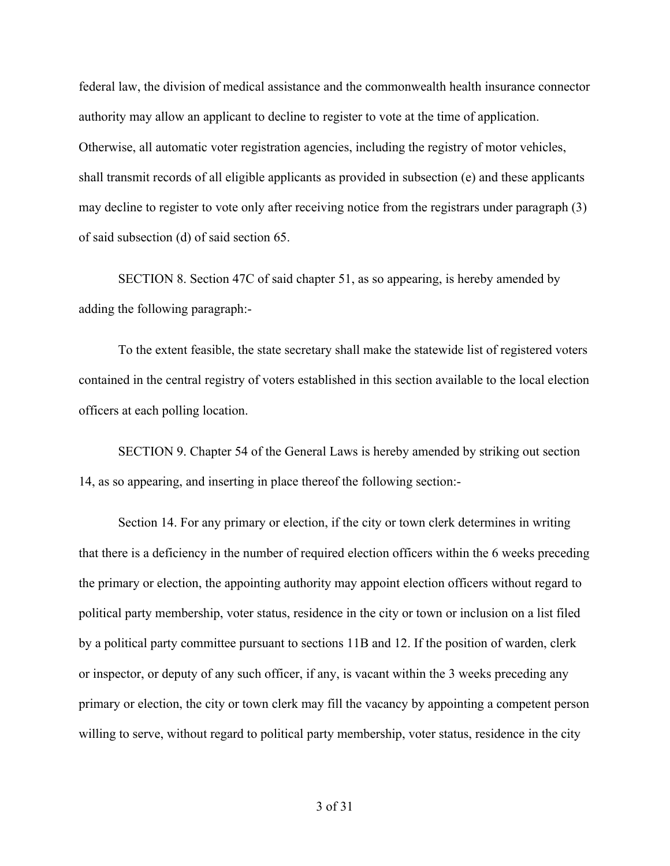federal law, the division of medical assistance and the commonwealth health insurance connector authority may allow an applicant to decline to register to vote at the time of application. Otherwise, all automatic voter registration agencies, including the registry of motor vehicles, shall transmit records of all eligible applicants as provided in subsection (e) and these applicants may decline to register to vote only after receiving notice from the registrars under paragraph (3) of said subsection (d) of said section 65. 

SECTION 8. Section 47C of said chapter 51, as so appearing, is hereby amended by adding the following paragraph:-

To the extent feasible, the state secretary shall make the statewide list of registered voters contained in the central registry of voters established in this section available to the local election officers at each polling location. 

SECTION 9. Chapter 54 of the General Laws is hereby amended by striking out section 14, as so appearing, and inserting in place thereof the following section:- 

Section 14. For any primary or election, if the city or town clerk determines in writing that there is a deficiency in the number of required election officers within the 6 weeks preceding the primary or election, the appointing authority may appoint election officers without regard to political party membership, voter status, residence in the city or town or inclusion on a list filed by a political party committee pursuant to sections 11B and 12. If the position of warden, clerk or inspector, or deputy of any such officer, if any, is vacant within the 3 weeks preceding any primary or election, the city or town clerk may fill the vacancy by appointing a competent person willing to serve, without regard to political party membership, voter status, residence in the city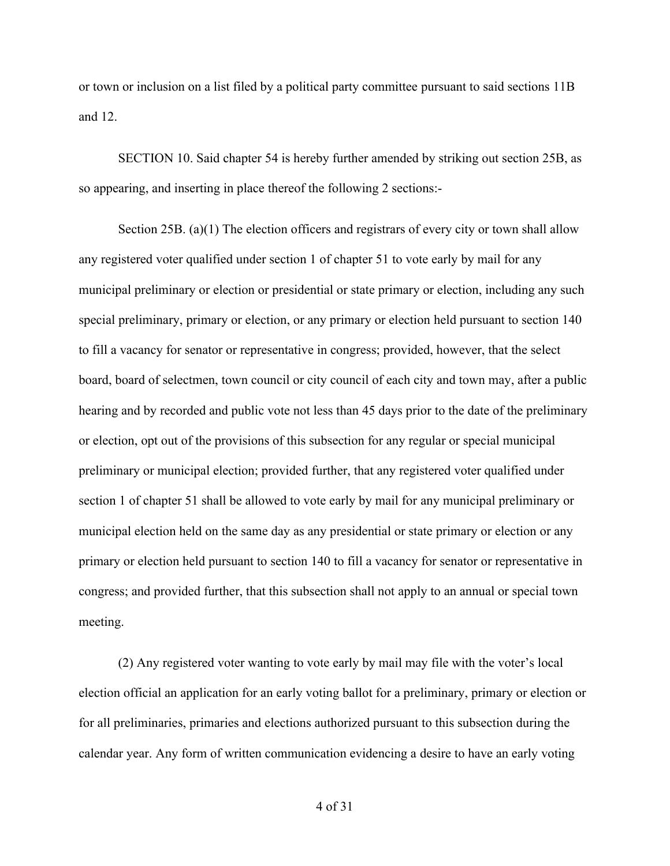or town or inclusion on a list filed by a political party committee pursuant to said sections 11B and 12. 

SECTION 10. Said chapter 54 is hereby further amended by striking out section 25B, as so appearing, and inserting in place thereof the following 2 sections:- 

Section 25B. (a)(1) The election officers and registrars of every city or town shall allow any registered voter qualified under section 1 of chapter 51 to vote early by mail for any municipal preliminary or election or presidential or state primary or election, including any such special preliminary, primary or election, or any primary or election held pursuant to section 140 to fill a vacancy for senator or representative in congress; provided, however, that the select board, board of selectmen, town council or city council of each city and town may, after a public hearing and by recorded and public vote not less than 45 days prior to the date of the preliminary or election, opt out of the provisions of this subsection for any regular or special municipal preliminary or municipal election; provided further, that any registered voter qualified under section 1 of chapter 51 shall be allowed to vote early by mail for any municipal preliminary or municipal election held on the same day as any presidential or state primary or election or any primary or election held pursuant to section 140 to fill a vacancy for senator or representative in congress; and provided further, that this subsection shall not apply to an annual or special town meeting.

(2) Any registered voter wanting to vote early by mail may file with the voter's local election official an application for an early voting ballot for a preliminary, primary or election or for all preliminaries, primaries and elections authorized pursuant to this subsection during the calendar year. Any form of written communication evidencing a desire to have an early voting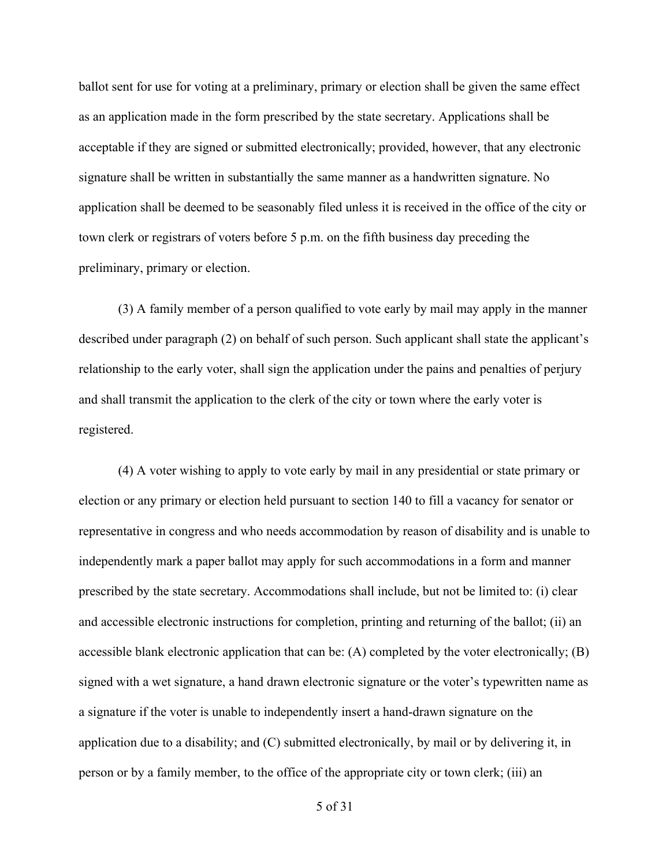ballot sent for use for voting at a preliminary, primary or election shall be given the same effect as an application made in the form prescribed by the state secretary. Applications shall be acceptable if they are signed or submitted electronically; provided, however, that any electronic signature shall be written in substantially the same manner as a handwritten signature. No application shall be deemed to be seasonably filed unless it is received in the office of the city or town clerk or registrars of voters before 5 p.m. on the fifth business day preceding the preliminary, primary or election.  

(3) A family member of a person qualified to vote early by mail may apply in the manner described under paragraph (2) on behalf of such person. Such applicant shall state the applicant's relationship to the early voter, shall sign the application under the pains and penalties of perjury and shall transmit the application to the clerk of the city or town where the early voter is registered.

(4) A voter wishing to apply to vote early by mail in any presidential or state primary or election or any primary or election held pursuant to section 140 to fill a vacancy for senator or representative in congress and who needs accommodation by reason of disability and is unable to independently mark a paper ballot may apply for such accommodations in a form and manner prescribed by the state secretary. Accommodations shall include, but not be limited to: (i) clear and accessible electronic instructions for completion, printing and returning of the ballot; (ii) an accessible blank electronic application that can be: (A) completed by the voter electronically; (B) signed with a wet signature, a hand drawn electronic signature or the voter's typewritten name as a signature if the voter is unable to independently insert a hand-drawn signature on the application due to a disability; and (C) submitted electronically, by mail or by delivering it, in person or by a family member, to the office of the appropriate city or town clerk; (iii) an

5 of 31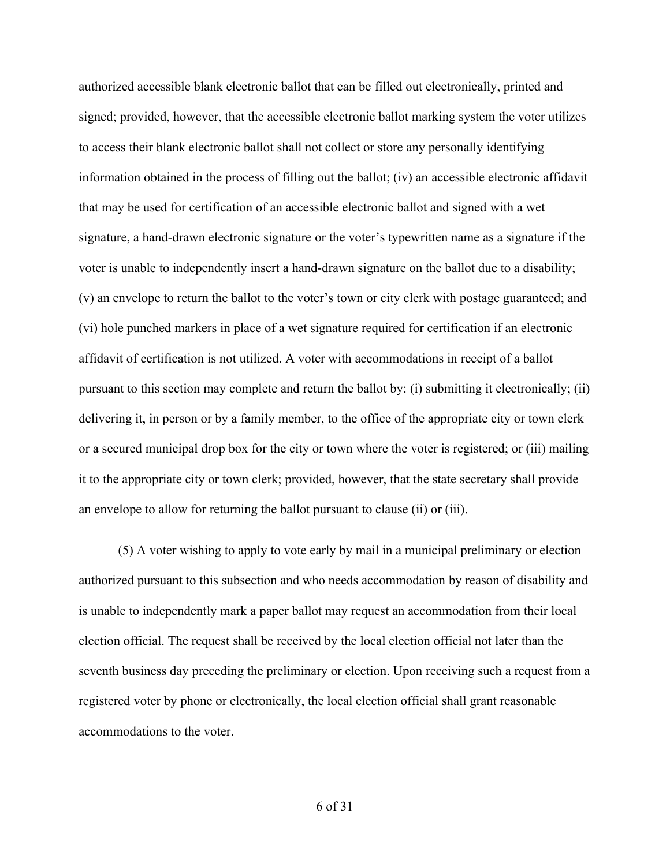authorized accessible blank electronic ballot that can be filled out electronically, printed and signed; provided, however, that the accessible electronic ballot marking system the voter utilizes to access their blank electronic ballot shall not collect or store any personally identifying information obtained in the process of filling out the ballot; (iv) an accessible electronic affidavit that may be used for certification of an accessible electronic ballot and signed with a wet signature, a hand-drawn electronic signature or the voter's typewritten name as a signature if the voter is unable to independently insert a hand-drawn signature on the ballot due to a disability; (v) an envelope to return the ballot to the voter's town or city clerk with postage guaranteed; and (vi) hole punched markers in place of a wet signature required for certification if an electronic affidavit of certification is not utilized. A voter with accommodations in receipt of a ballot pursuant to this section may complete and return the ballot by: (i) submitting it electronically; (ii) delivering it, in person or by a family member, to the office of the appropriate city or town clerk or a secured municipal drop box for the city or town where the voter is registered; or (iii) mailing it to the appropriate city or town clerk; provided, however, that the state secretary shall provide an envelope to allow for returning the ballot pursuant to clause (ii) or (iii).

(5) A voter wishing to apply to vote early by mail in a municipal preliminary or election authorized pursuant to this subsection and who needs accommodation by reason of disability and is unable to independently mark a paper ballot may request an accommodation from their local election official. The request shall be received by the local election official not later than the seventh business day preceding the preliminary or election. Upon receiving such a request from a registered voter by phone or electronically, the local election official shall grant reasonable accommodations to the voter.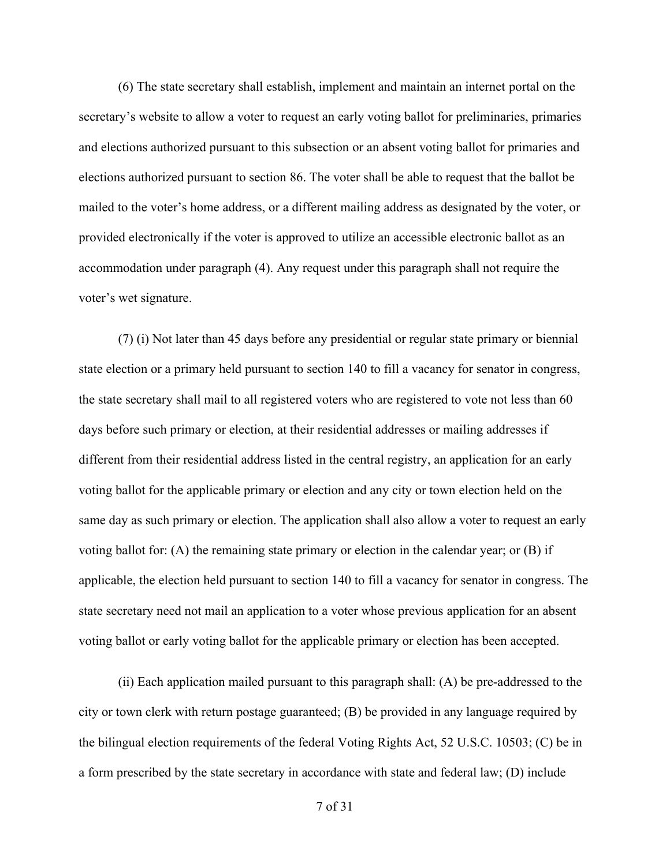(6) The state secretary shall establish, implement and maintain an internet portal on the secretary's website to allow a voter to request an early voting ballot for preliminaries, primaries and elections authorized pursuant to this subsection or an absent voting ballot for primaries and elections authorized pursuant to section 86. The voter shall be able to request that the ballot be mailed to the voter's home address, or a different mailing address as designated by the voter, or provided electronically if the voter is approved to utilize an accessible electronic ballot as an accommodation under paragraph (4). Any request under this paragraph shall not require the voter's wet signature.  

(7) (i) Not later than 45 days before any presidential or regular state primary or biennial state election or a primary held pursuant to section 140 to fill a vacancy for senator in congress, the state secretary shall mail to all registered voters who are registered to vote not less than 60 days before such primary or election, at their residential addresses or mailing addresses if different from their residential address listed in the central registry, an application for an early voting ballot for the applicable primary or election and any city or town election held on the same day as such primary or election. The application shall also allow a voter to request an early voting ballot for: (A) the remaining state primary or election in the calendar year; or (B) if applicable, the election held pursuant to section 140 to fill a vacancy for senator in congress. The state secretary need not mail an application to a voter whose previous application for an absent voting ballot or early voting ballot for the applicable primary or election has been accepted.  

(ii) Each application mailed pursuant to this paragraph shall: (A) be pre-addressed to the city or town clerk with return postage guaranteed; (B) be provided in any language required by the bilingual election requirements of the federal Voting Rights Act, 52 U.S.C. 10503; (C) be in a form prescribed by the state secretary in accordance with state and federal law; (D) include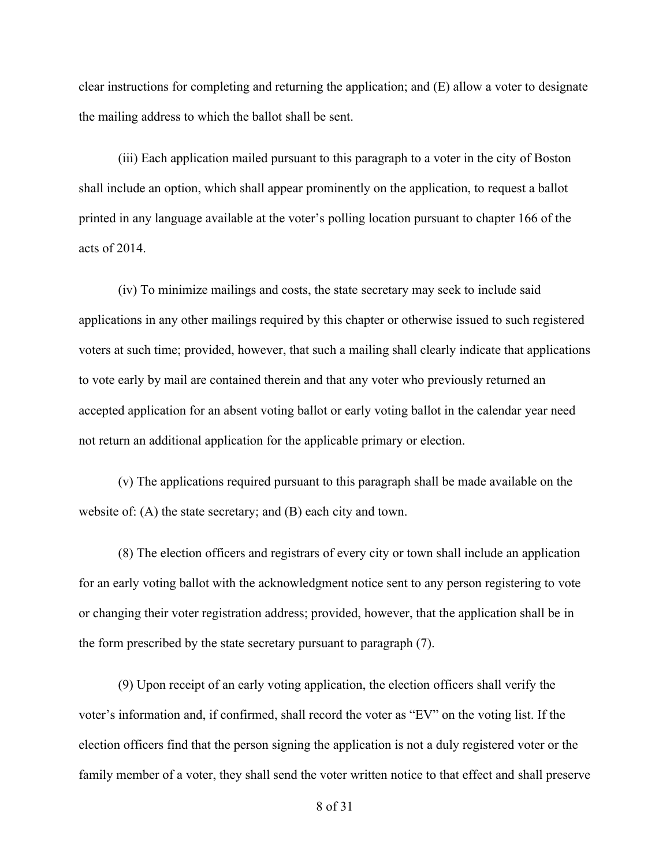clear instructions for completing and returning the application; and (E) allow a voter to designate the mailing address to which the ballot shall be sent.  

(iii) Each application mailed pursuant to this paragraph to a voter in the city of Boston shall include an option, which shall appear prominently on the application, to request a ballot printed in any language available at the voter's polling location pursuant to chapter 166 of the acts of 2014.  

(iv) To minimize mailings and costs, the state secretary may seek to include said applications in any other mailings required by this chapter or otherwise issued to such registered voters at such time; provided, however, that such a mailing shall clearly indicate that applications to vote early by mail are contained therein and that any voter who previously returned an accepted application for an absent voting ballot or early voting ballot in the calendar year need not return an additional application for the applicable primary or election.  

(v) The applications required pursuant to this paragraph shall be made available on the website of: (A) the state secretary; and (B) each city and town. 

(8) The election officers and registrars of every city or town shall include an application for an early voting ballot with the acknowledgment notice sent to any person registering to vote or changing their voter registration address; provided, however, that the application shall be in the form prescribed by the state secretary pursuant to paragraph (7).

(9) Upon receipt of an early voting application, the election officers shall verify the voter's information and, if confirmed, shall record the voter as "EV" on the voting list. If the election officers find that the person signing the application is not a duly registered voter or the family member of a voter, they shall send the voter written notice to that effect and shall preserve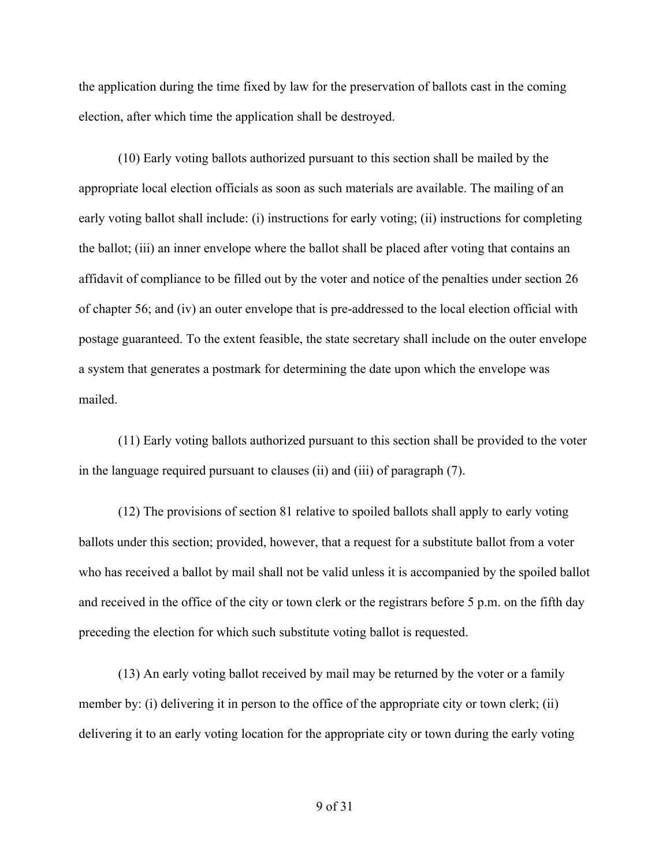the application during the time fixed by law for the preservation of ballots cast in the coming election, after which time the application shall be destroyed.  

(10) Early voting ballots authorized pursuant to this section shall be mailed by the appropriate local election officials as soon as such materials are available. The mailing of an early voting ballot shall include: (i) instructions for early voting; (ii) instructions for completing the ballot; (iii) an inner envelope where the ballot shall be placed after voting that contains an affidavit of compliance to be filled out by the voter and notice of the penalties under section 26 of chapter 56; and (iv) an outer envelope that is pre-addressed to the local election official with postage guaranteed. To the extent feasible, the state secretary shall include on the outer envelope a system that generates a postmark for determining the date upon which the envelope was mailed.

(11) Early voting ballots authorized pursuant to this section shall be provided to the voter in the language required pursuant to clauses (ii) and (iii) of paragraph (7).  

(12) The provisions of section 81 relative to spoiled ballots shall apply to early voting ballots under this section; provided, however, that a request for a substitute ballot from a voter who has received a ballot by mail shall not be valid unless it is accompanied by the spoiled ballot and received in the office of the city or town clerk or the registrars before 5 p.m. on the fifth day preceding the election for which such substitute voting ballot is requested. 

(13) An early voting ballot received by mail may be returned by the voter or a family member by: (i) delivering it in person to the office of the appropriate city or town clerk; (ii) delivering it to an early voting location for the appropriate city or town during the early voting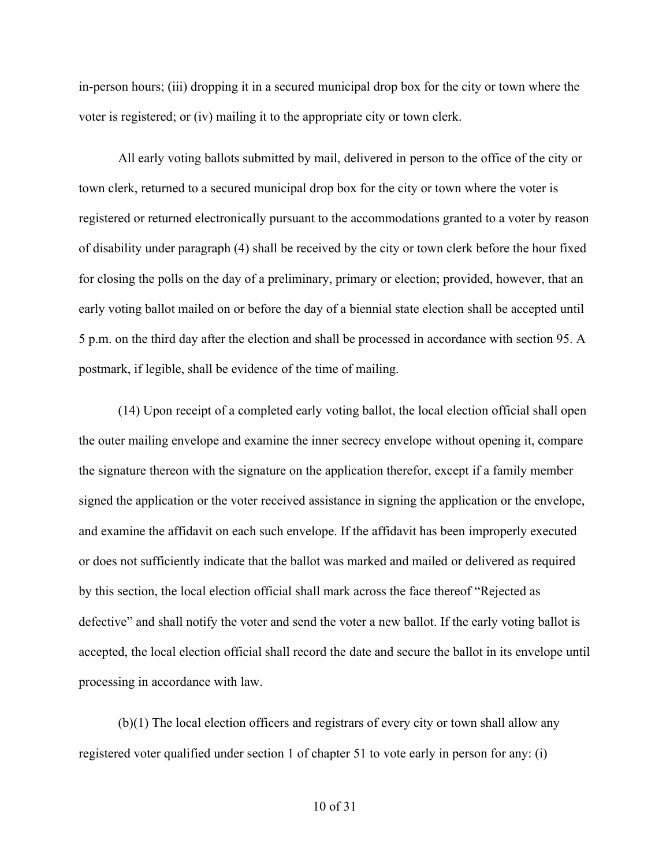in-person hours; (iii) dropping it in a secured municipal drop box for the city or town where the voter is registered; or (iv) mailing it to the appropriate city or town clerk.  

All early voting ballots submitted by mail, delivered in person to the office of the city or  town clerk, returned to a secured municipal drop box for the city or town where the voter is registered or returned electronically pursuant to the accommodations granted to a voter by reason of disability under paragraph (4) shall be received by the city or town clerk before the hour fixed for closing the polls on the day of a preliminary, primary or election; provided, however, that an early voting ballot mailed on or before the day of a biennial state election shall be accepted until 5 p.m. on the third day after the election and shall be processed in accordance with section 95. A postmark, if legible, shall be evidence of the time of mailing. 

(14) Upon receipt of a completed early voting ballot, the local election official shall open the outer mailing envelope and examine the inner secrecy envelope without opening it, compare the signature thereon with the signature on the application therefor, except if a family member signed the application or the voter received assistance in signing the application or the envelope, and examine the affidavit on each such envelope. If the affidavit has been improperly executed or does not sufficiently indicate that the ballot was marked and mailed or delivered as required by this section, the local election official shall mark across the face thereof "Rejected as defective" and shall notify the voter and send the voter a new ballot. If the early voting ballot is accepted, the local election official shall record the date and secure the ballot in its envelope until processing in accordance with law.  

(b)(1) The local election officers and registrars of every city or town shall allow any registered voter qualified under section 1 of chapter 51 to vote early in person for any: (i)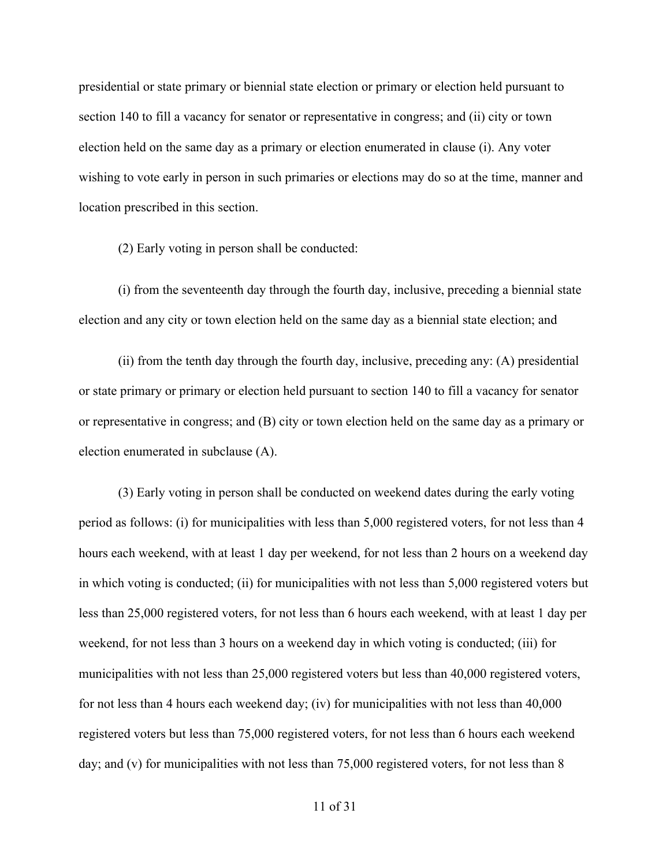presidential or state primary or biennial state election or primary or election held pursuant to section 140 to fill a vacancy for senator or representative in congress; and (ii) city or town election held on the same day as a primary or election enumerated in clause (i). Any voter wishing to vote early in person in such primaries or elections may do so at the time, manner and location prescribed in this section. 

(2) Early voting in person shall be conducted: 

(i) from the seventeenth day through the fourth day, inclusive, preceding a biennial state election and any city or town election held on the same day as a biennial state election; and 

(ii) from the tenth day through the fourth day, inclusive, preceding any: (A) presidential or state primary or primary or election held pursuant to section 140 to fill a vacancy for senator or representative in congress; and (B) city or town election held on the same day as a primary or election enumerated in subclause (A).

(3) Early voting in person shall be conducted on weekend dates during the early voting period as follows: (i) for municipalities with less than 5,000 registered voters, for not less than 4 hours each weekend, with at least 1 day per weekend, for not less than 2 hours on a weekend day in which voting is conducted; (ii) for municipalities with not less than 5,000 registered voters but less than 25,000 registered voters, for not less than 6 hours each weekend, with at least 1 day per weekend, for not less than 3 hours on a weekend day in which voting is conducted; (iii) for municipalities with not less than 25,000 registered voters but less than 40,000 registered voters, for not less than 4 hours each weekend day; (iv) for municipalities with not less than 40,000 registered voters but less than 75,000 registered voters, for not less than 6 hours each weekend day; and (v) for municipalities with not less than 75,000 registered voters, for not less than 8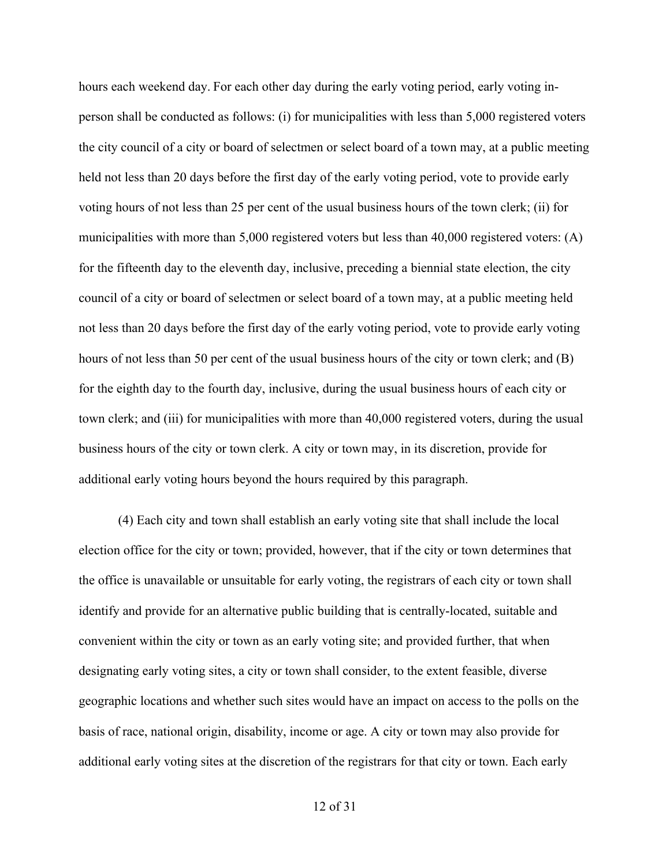hours each weekend day. For each other day during the early voting period, early voting inperson shall be conducted as follows: (i) for municipalities with less than 5,000 registered voters the city council of a city or board of selectmen or select board of a town may, at a public meeting held not less than 20 days before the first day of the early voting period, vote to provide early voting hours of not less than 25 per cent of the usual business hours of the town clerk; (ii) for municipalities with more than 5,000 registered voters but less than 40,000 registered voters: (A) for the fifteenth day to the eleventh day, inclusive, preceding a biennial state election, the city council of a city or board of selectmen or select board of a town may, at a public meeting held not less than 20 days before the first day of the early voting period, vote to provide early voting hours of not less than 50 per cent of the usual business hours of the city or town clerk; and (B) for the eighth day to the fourth day, inclusive, during the usual business hours of each city or town clerk; and (iii) for municipalities with more than 40,000 registered voters, during the usual business hours of the city or town clerk. A city or town may, in its discretion, provide for additional early voting hours beyond the hours required by this paragraph. 

(4) Each city and town shall establish an early voting site that shall include the local election office for the city or town; provided, however, that if the city or town determines that the office is unavailable or unsuitable for early voting, the registrars of each city or town shall identify and provide for an alternative public building that is centrally-located, suitable and convenient within the city or town as an early voting site; and provided further, that when designating early voting sites, a city or town shall consider, to the extent feasible, diverse geographic locations and whether such sites would have an impact on access to the polls on the basis of race, national origin, disability, income or age. A city or town may also provide for additional early voting sites at the discretion of the registrars for that city or town. Each early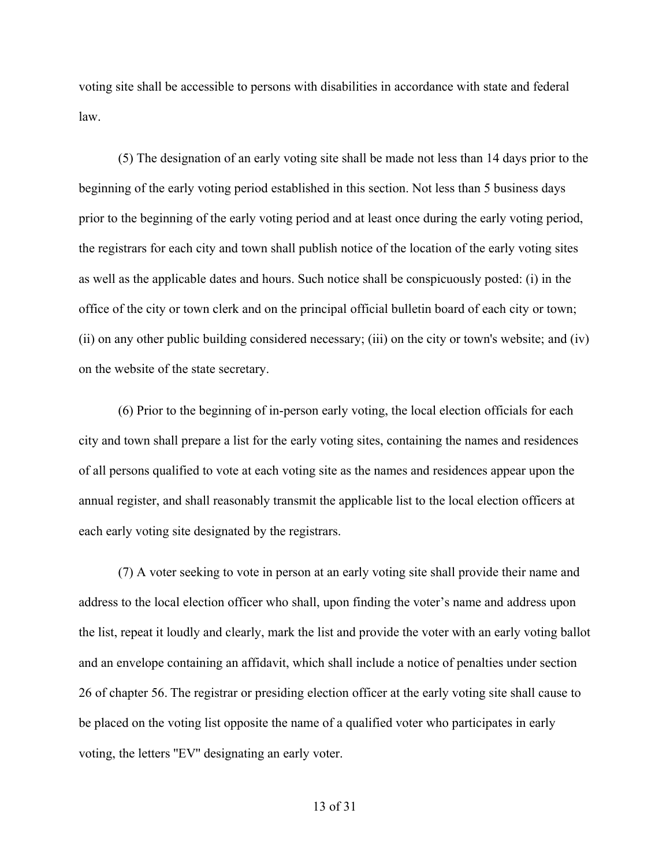voting site shall be accessible to persons with disabilities in accordance with state and federal law. 

(5) The designation of an early voting site shall be made not less than 14 days prior to the beginning of the early voting period established in this section. Not less than 5 business days prior to the beginning of the early voting period and at least once during the early voting period, the registrars for each city and town shall publish notice of the location of the early voting sites as well as the applicable dates and hours. Such notice shall be conspicuously posted: (i) in the office of the city or town clerk and on the principal official bulletin board of each city or town; (ii) on any other public building considered necessary; (iii) on the city or town's website; and (iv) on the website of the state secretary. 

(6) Prior to the beginning of in-person early voting, the local election officials for each city and town shall prepare a list for the early voting sites, containing the names and residences of all persons qualified to vote at each voting site as the names and residences appear upon the annual register, and shall reasonably transmit the applicable list to the local election officers at each early voting site designated by the registrars. 

(7) A voter seeking to vote in person at an early voting site shall provide their name and address to the local election officer who shall, upon finding the voter's name and address upon the list, repeat it loudly and clearly, mark the list and provide the voter with an early voting ballot and an envelope containing an affidavit, which shall include a notice of penalties under section 26 of chapter 56. The registrar or presiding election officer at the early voting site shall cause to be placed on the voting list opposite the name of a qualified voter who participates in early voting, the letters ''EV'' designating an early voter.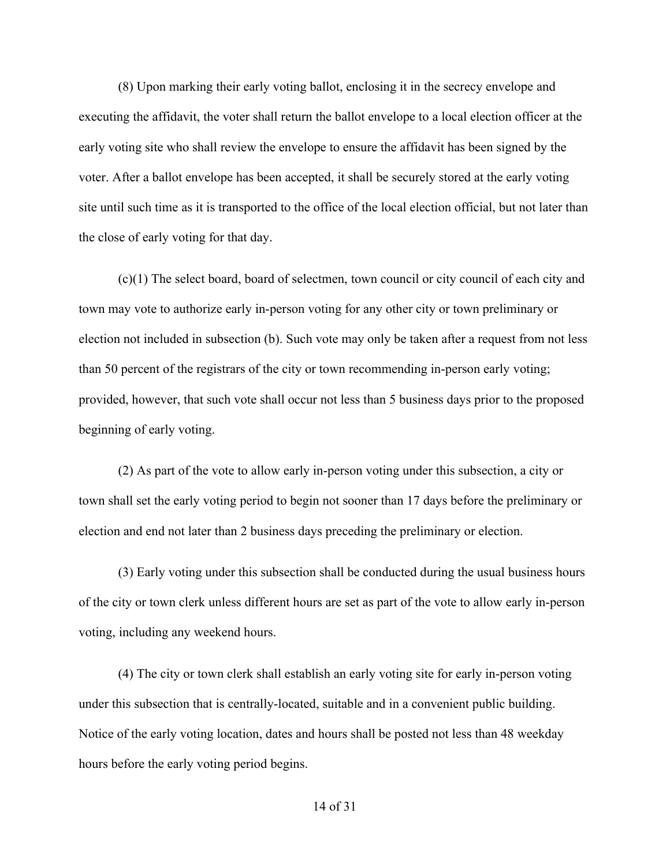(8) Upon marking their early voting ballot, enclosing it in the secrecy envelope and executing the affidavit, the voter shall return the ballot envelope to a local election officer at the early voting site who shall review the envelope to ensure the affidavit has been signed by the voter. After a ballot envelope has been accepted, it shall be securely stored at the early voting site until such time as it is transported to the office of the local election official, but not later than the close of early voting for that day.  

(c)(1) The select board, board of selectmen, town council or city council of each city and town may vote to authorize early in-person voting for any other city or town preliminary or election not included in subsection (b). Such vote may only be taken after a request from not less than 50 percent of the registrars of the city or town recommending in-person early voting; provided, however, that such vote shall occur not less than 5 business days prior to the proposed beginning of early voting.  

(2) As part of the vote to allow early in-person voting under this subsection, a city or town shall set the early voting period to begin not sooner than 17 days before the preliminary or election and end not later than 2 business days preceding the preliminary or election.  

(3) Early voting under this subsection shall be conducted during the usual business hours of the city or town clerk unless different hours are set as part of the vote to allow early in-person voting, including any weekend hours.  

(4) The city or town clerk shall establish an early voting site for early in-person voting under this subsection that is centrally-located, suitable and in a convenient public building. Notice of the early voting location, dates and hours shall be posted not less than 48 weekday hours before the early voting period begins.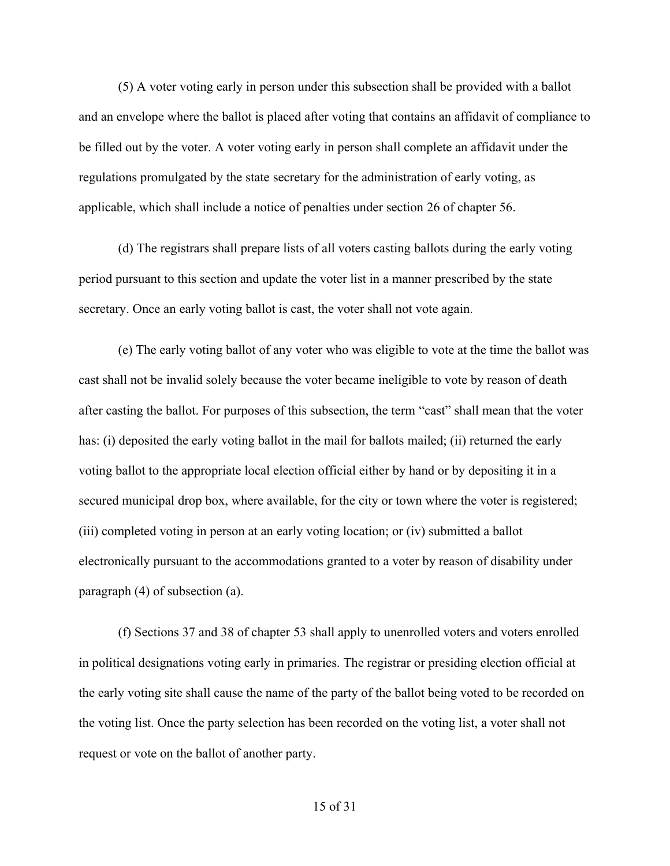(5) A voter voting early in person under this subsection shall be provided with a ballot and an envelope where the ballot is placed after voting that contains an affidavit of compliance to be filled out by the voter. A voter voting early in person shall complete an affidavit under the regulations promulgated by the state secretary for the administration of early voting, as applicable, which shall include a notice of penalties under section 26 of chapter 56. 

(d) The registrars shall prepare lists of all voters casting ballots during the early voting period pursuant to this section and update the voter list in a manner prescribed by the state secretary. Once an early voting ballot is cast, the voter shall not vote again.

(e) The early voting ballot of any voter who was eligible to vote at the time the ballot was cast shall not be invalid solely because the voter became ineligible to vote by reason of death after casting the ballot. For purposes of this subsection, the term "cast" shall mean that the voter has: (i) deposited the early voting ballot in the mail for ballots mailed; (ii) returned the early voting ballot to the appropriate local election official either by hand or by depositing it in a secured municipal drop box, where available, for the city or town where the voter is registered; (iii) completed voting in person at an early voting location; or (iv) submitted a ballot electronically pursuant to the accommodations granted to a voter by reason of disability under paragraph (4) of subsection (a).   

(f) Sections 37 and 38 of chapter 53 shall apply to unenrolled voters and voters enrolled in political designations voting early in primaries. The registrar or presiding election official at the early voting site shall cause the name of the party of the ballot being voted to be recorded on the voting list. Once the party selection has been recorded on the voting list, a voter shall not request or vote on the ballot of another party.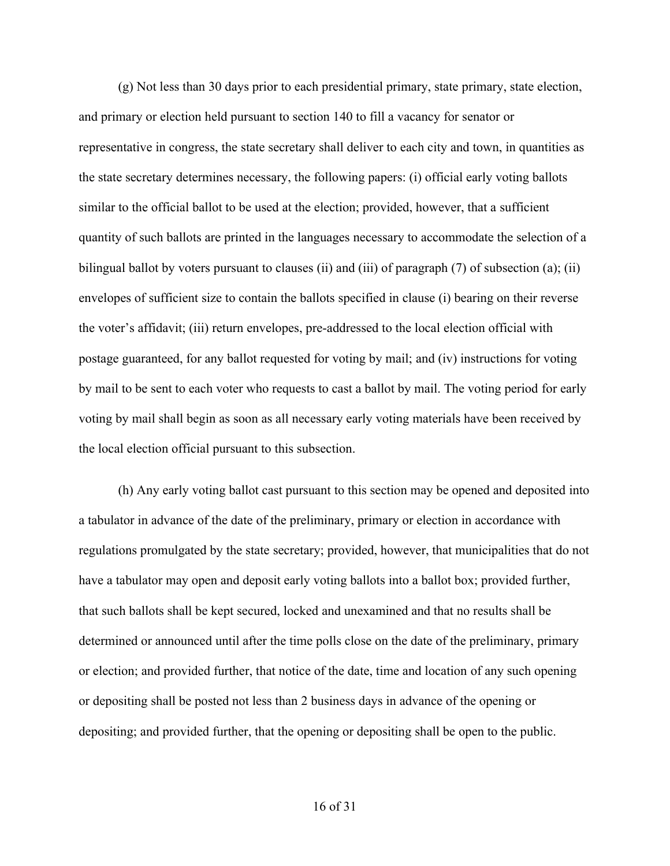(g) Not less than 30 days prior to each presidential primary, state primary, state election, and primary or election held pursuant to section 140 to fill a vacancy for senator or representative in congress, the state secretary shall deliver to each city and town, in quantities as the state secretary determines necessary, the following papers: (i) official early voting ballots similar to the official ballot to be used at the election; provided, however, that a sufficient quantity of such ballots are printed in the languages necessary to accommodate the selection of a bilingual ballot by voters pursuant to clauses (ii) and (iii) of paragraph (7) of subsection (a); (ii) envelopes of sufficient size to contain the ballots specified in clause (i) bearing on their reverse the voter's affidavit; (iii) return envelopes, pre-addressed to the local election official with postage guaranteed, for any ballot requested for voting by mail; and (iv) instructions for voting by mail to be sent to each voter who requests to cast a ballot by mail. The voting period for early voting by mail shall begin as soon as all necessary early voting materials have been received by the local election official pursuant to this subsection.

(h) Any early voting ballot cast pursuant to this section may be opened and deposited into a tabulator in advance of the date of the preliminary, primary or election in accordance with regulations promulgated by the state secretary; provided, however, that municipalities that do not have a tabulator may open and deposit early voting ballots into a ballot box; provided further, that such ballots shall be kept secured, locked and unexamined and that no results shall be determined or announced until after the time polls close on the date of the preliminary, primary or election; and provided further, that notice of the date, time and location of any such opening or depositing shall be posted not less than 2 business days in advance of the opening or depositing; and provided further, that the opening or depositing shall be open to the public.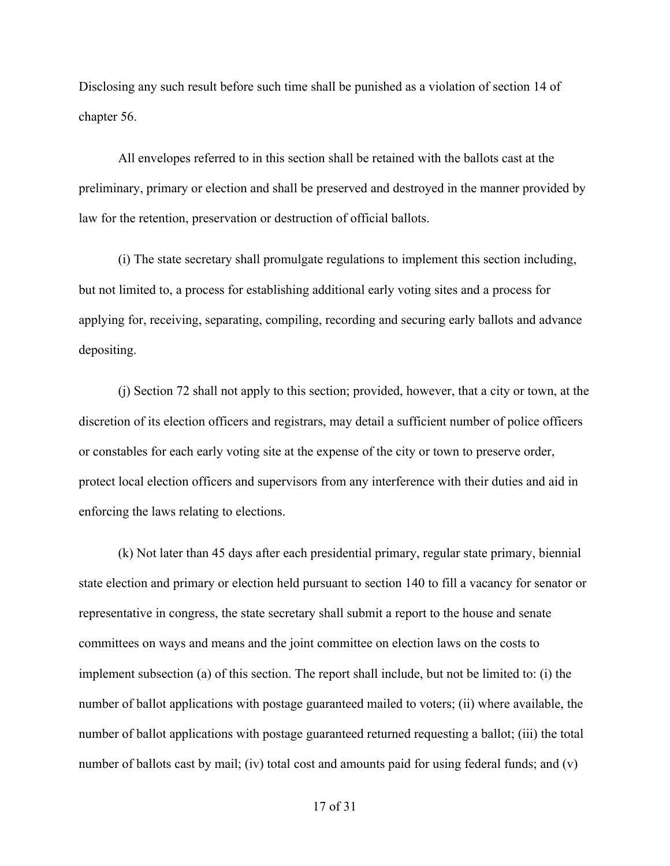Disclosing any such result before such time shall be punished as a violation of section 14 of chapter 56. 

All envelopes referred to in this section shall be retained with the ballots cast at the preliminary, primary or election and shall be preserved and destroyed in the manner provided by law for the retention, preservation or destruction of official ballots. 

(i) The state secretary shall promulgate regulations to implement this section including, but not limited to, a process for establishing additional early voting sites and a process for applying for, receiving, separating, compiling, recording and securing early ballots and advance depositing. 

(j) Section 72 shall not apply to this section; provided, however, that a city or town, at the discretion of its election officers and registrars, may detail a sufficient number of police officers or constables for each early voting site at the expense of the city or town to preserve order, protect local election officers and supervisors from any interference with their duties and aid in enforcing the laws relating to elections. 

(k) Not later than 45 days after each presidential primary, regular state primary, biennial state election and primary or election held pursuant to section 140 to fill a vacancy for senator or representative in congress, the state secretary shall submit a report to the house and senate committees on ways and means and the joint committee on election laws on the costs to implement subsection (a) of this section. The report shall include, but not be limited to: (i) the number of ballot applications with postage guaranteed mailed to voters; (ii) where available, the number of ballot applications with postage guaranteed returned requesting a ballot; (iii) the total number of ballots cast by mail; (iv) total cost and amounts paid for using federal funds; and (v)

17 of 31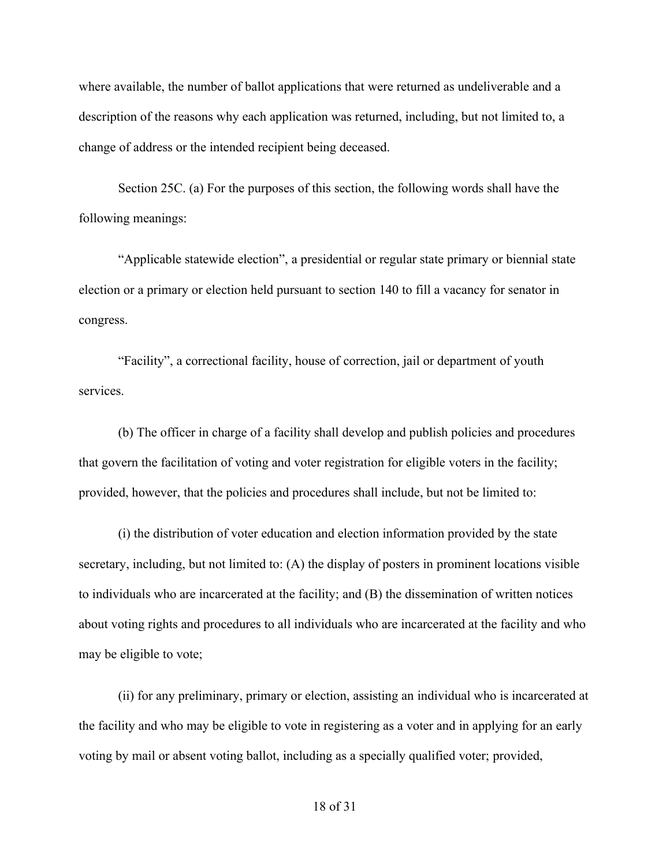where available, the number of ballot applications that were returned as undeliverable and a description of the reasons why each application was returned, including, but not limited to, a change of address or the intended recipient being deceased.

Section 25C. (a) For the purposes of this section, the following words shall have the following meanings:  

"Applicable statewide election", a presidential or regular state primary or biennial state election or a primary or election held pursuant to section 140 to fill a vacancy for senator in congress. 

"Facility", a correctional facility, house of correction, jail or department of youth services. 

(b) The officer in charge of a facility shall develop and publish policies and procedures that govern the facilitation of voting and voter registration for eligible voters in the facility; provided, however, that the policies and procedures shall include, but not be limited to: 

(i) the distribution of voter education and election information provided by the state secretary, including, but not limited to: (A) the display of posters in prominent locations visible to individuals who are incarcerated at the facility; and (B) the dissemination of written notices about voting rights and procedures to all individuals who are incarcerated at the facility and who may be eligible to vote;

(ii) for any preliminary, primary or election, assisting an individual who is incarcerated at the facility and who may be eligible to vote in registering as a voter and in applying for an early voting by mail or absent voting ballot, including as a specially qualified voter; provided,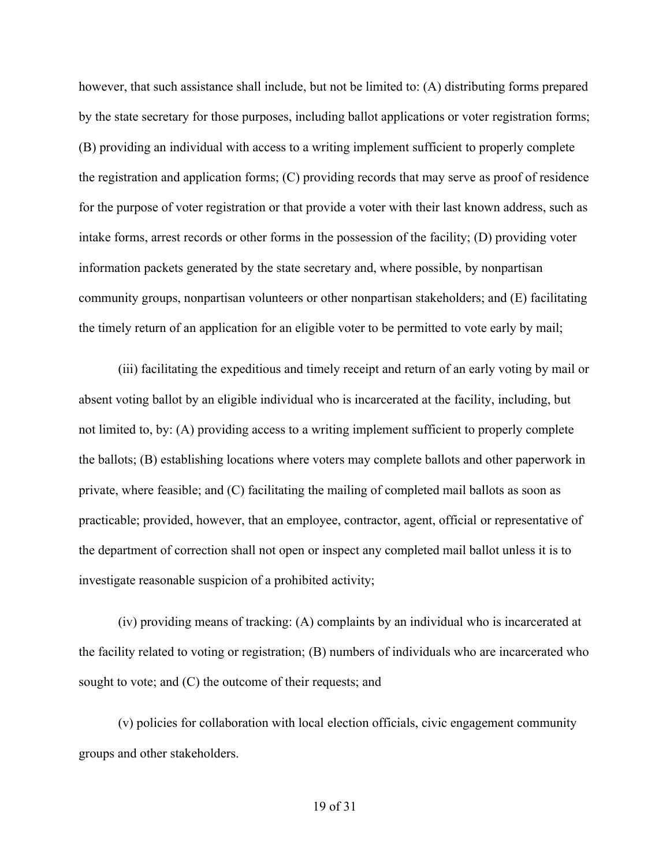however, that such assistance shall include, but not be limited to: (A) distributing forms prepared by the state secretary for those purposes, including ballot applications or voter registration forms; (B) providing an individual with access to a writing implement sufficient to properly complete the registration and application forms; (C) providing records that may serve as proof of residence for the purpose of voter registration or that provide a voter with their last known address, such as intake forms, arrest records or other forms in the possession of the facility; (D) providing voter information packets generated by the state secretary and, where possible, by nonpartisan community groups, nonpartisan volunteers or other nonpartisan stakeholders; and (E) facilitating the timely return of an application for an eligible voter to be permitted to vote early by mail; 

(iii) facilitating the expeditious and timely receipt and return of an early voting by mail or absent voting ballot by an eligible individual who is incarcerated at the facility, including, but not limited to, by: (A) providing access to a writing implement sufficient to properly complete the ballots; (B) establishing locations where voters may complete ballots and other paperwork in private, where feasible; and (C) facilitating the mailing of completed mail ballots as soon as practicable; provided, however, that an employee, contractor, agent, official or representative of the department of correction shall not open or inspect any completed mail ballot unless it is to investigate reasonable suspicion of a prohibited activity;

(iv) providing means of tracking: (A) complaints by an individual who is incarcerated at the facility related to voting or registration; (B) numbers of individuals who are incarcerated who sought to vote; and (C) the outcome of their requests; and

(v) policies for collaboration with local election officials, civic engagement community groups and other stakeholders.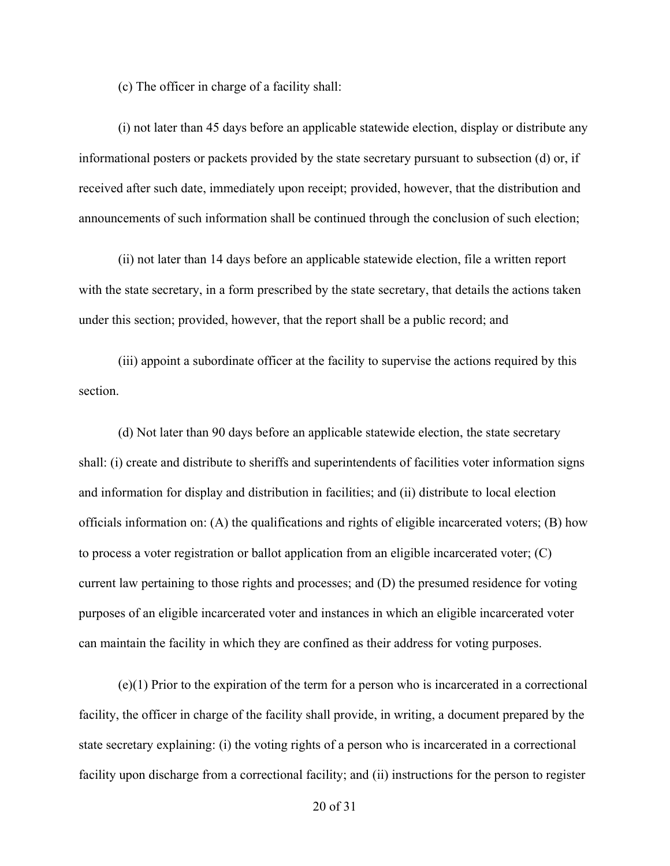(c) The officer in charge of a facility shall:

(i) not later than 45 days before an applicable statewide election, display or distribute any informational posters or packets provided by the state secretary pursuant to subsection (d) or, if received after such date, immediately upon receipt; provided, however, that the distribution and announcements of such information shall be continued through the conclusion of such election; 

(ii) not later than 14 days before an applicable statewide election, file a written report with the state secretary, in a form prescribed by the state secretary, that details the actions taken under this section; provided, however, that the report shall be a public record; and 

(iii) appoint a subordinate officer at the facility to supervise the actions required by this section. 

(d) Not later than 90 days before an applicable statewide election, the state secretary shall: (i) create and distribute to sheriffs and superintendents of facilities voter information signs and information for display and distribution in facilities; and (ii) distribute to local election officials information on: (A) the qualifications and rights of eligible incarcerated voters; (B) how to process a voter registration or ballot application from an eligible incarcerated voter; (C) current law pertaining to those rights and processes; and (D) the presumed residence for voting purposes of an eligible incarcerated voter and instances in which an eligible incarcerated voter can maintain the facility in which they are confined as their address for voting purposes.

(e)(1) Prior to the expiration of the term for a person who is incarcerated in a correctional facility, the officer in charge of the facility shall provide, in writing, a document prepared by the state secretary explaining: (i) the voting rights of a person who is incarcerated in a correctional facility upon discharge from a correctional facility; and (ii) instructions for the person to register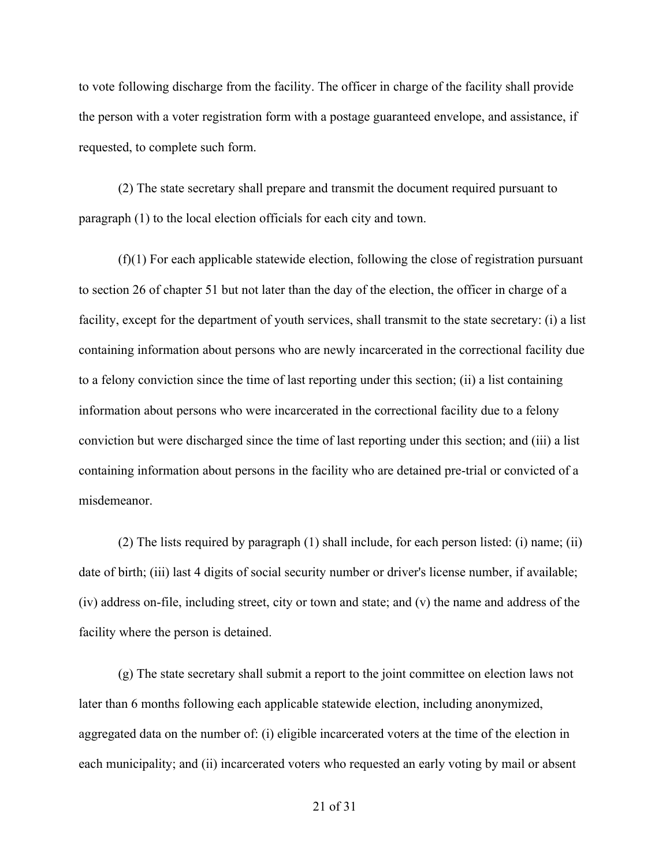to vote following discharge from the facility. The officer in charge of the facility shall provide the person with a voter registration form with a postage guaranteed envelope, and assistance, if requested, to complete such form. 

(2) The state secretary shall prepare and transmit the document required pursuant to paragraph (1) to the local election officials for each city and town. 

(f)(1) For each applicable statewide election, following the close of registration pursuant to section 26 of chapter 51 but not later than the day of the election, the officer in charge of a facility, except for the department of youth services, shall transmit to the state secretary: (i) a list containing information about persons who are newly incarcerated in the correctional facility due to a felony conviction since the time of last reporting under this section; (ii) a list containing information about persons who were incarcerated in the correctional facility due to a felony conviction but were discharged since the time of last reporting under this section; and (iii) a list containing information about persons in the facility who are detained pre-trial or convicted of a misdemeanor.

(2) The lists required by paragraph (1) shall include, for each person listed: (i) name; (ii) date of birth; (iii) last 4 digits of social security number or driver's license number, if available; (iv) address on-file, including street, city or town and state; and (v) the name and address of the facility where the person is detained. 

(g) The state secretary shall submit a report to the joint committee on election laws not later than 6 months following each applicable statewide election, including anonymized, aggregated data on the number of: (i) eligible incarcerated voters at the time of the election in each municipality; and (ii) incarcerated voters who requested an early voting by mail or absent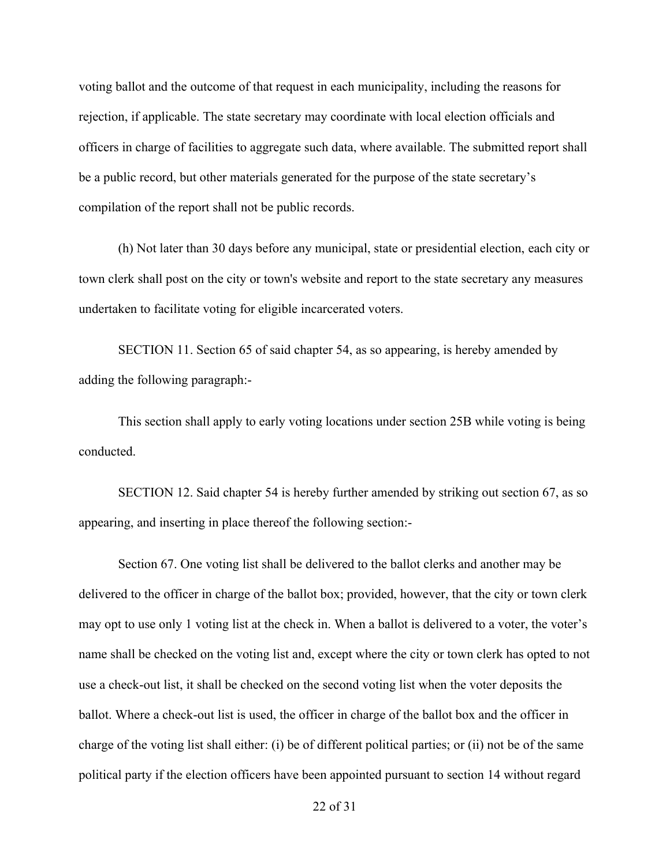voting ballot and the outcome of that request in each municipality, including the reasons for rejection, if applicable. The state secretary may coordinate with local election officials and officers in charge of facilities to aggregate such data, where available. The submitted report shall be a public record, but other materials generated for the purpose of the state secretary's compilation of the report shall not be public records.

(h) Not later than 30 days before any municipal, state or presidential election, each city or town clerk shall post on the city or town's website and report to the state secretary any measures undertaken to facilitate voting for eligible incarcerated voters. 

SECTION 11. Section 65 of said chapter 54, as so appearing, is hereby amended by adding the following paragraph:- 

This section shall apply to early voting locations under section 25B while voting is being conducted. 

SECTION 12. Said chapter 54 is hereby further amended by striking out section 67, as so appearing, and inserting in place thereof the following section:- 

Section 67. One voting list shall be delivered to the ballot clerks and another may be delivered to the officer in charge of the ballot box; provided, however, that the city or town clerk may opt to use only 1 voting list at the check in. When a ballot is delivered to a voter, the voter's name shall be checked on the voting list and, except where the city or town clerk has opted to not use a check-out list, it shall be checked on the second voting list when the voter deposits the ballot. Where a check-out list is used, the officer in charge of the ballot box and the officer in charge of the voting list shall either: (i) be of different political parties; or (ii) not be of the same political party if the election officers have been appointed pursuant to section 14 without regard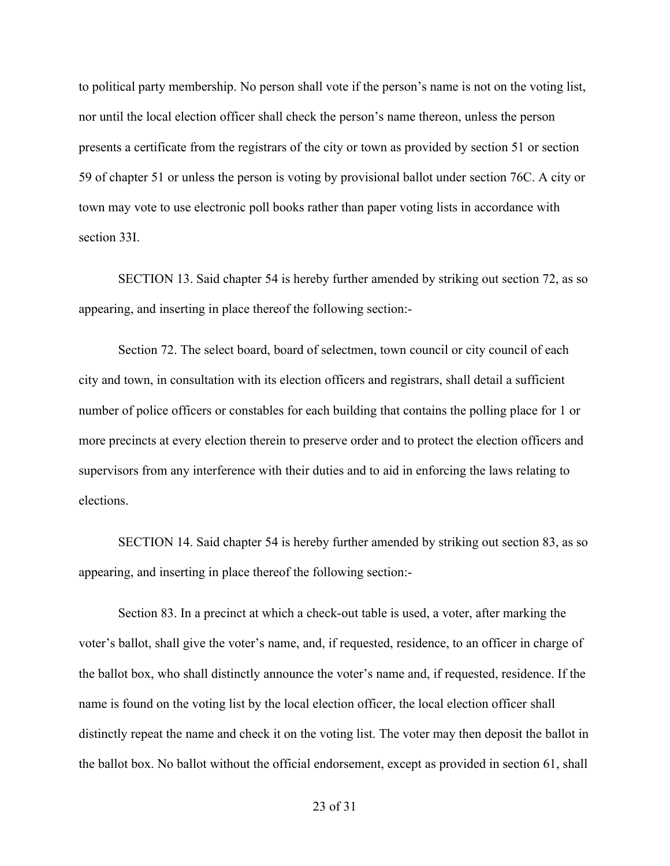to political party membership. No person shall vote if the person's name is not on the voting list, nor until the local election officer shall check the person's name thereon, unless the person presents a certificate from the registrars of the city or town as provided by section 51 or section 59 of chapter 51 or unless the person is voting by provisional ballot under section 76C. A city or town may vote to use electronic poll books rather than paper voting lists in accordance with section 33I. 

SECTION 13. Said chapter 54 is hereby further amended by striking out section 72, as so appearing, and inserting in place thereof the following section:-  

Section 72. The select board, board of selectmen, town council or city council of each city and town, in consultation with its election officers and registrars, shall detail a sufficient number of police officers or constables for each building that contains the polling place for 1 or more precincts at every election therein to preserve order and to protect the election officers and supervisors from any interference with their duties and to aid in enforcing the laws relating to elections. 

SECTION 14. Said chapter 54 is hereby further amended by striking out section 83, as so appearing, and inserting in place thereof the following section:- 

Section 83. In a precinct at which a check-out table is used, a voter, after marking the voter's ballot, shall give the voter's name, and, if requested, residence, to an officer in charge of the ballot box, who shall distinctly announce the voter's name and, if requested, residence. If the name is found on the voting list by the local election officer, the local election officer shall distinctly repeat the name and check it on the voting list. The voter may then deposit the ballot in the ballot box. No ballot without the official endorsement, except as provided in section 61, shall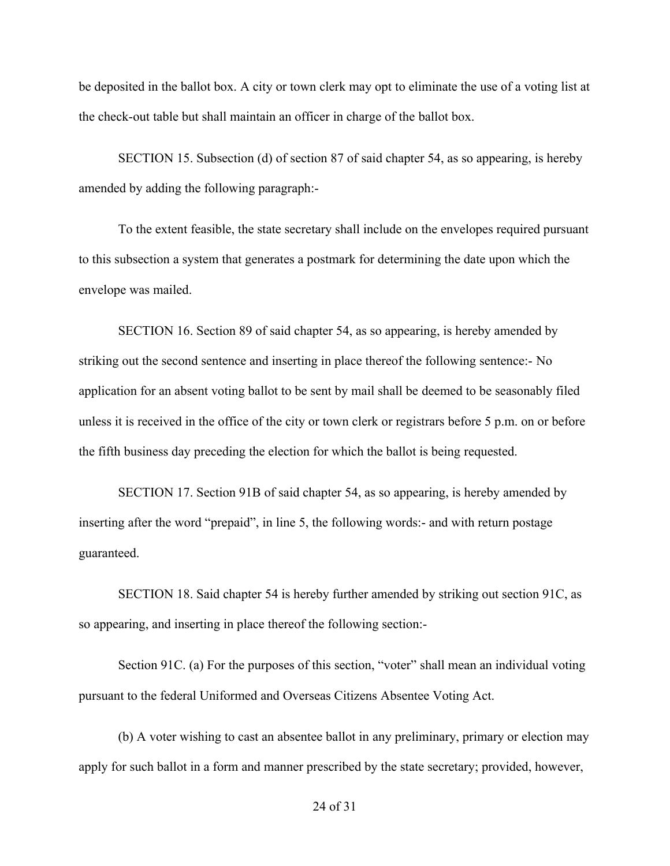be deposited in the ballot box. A city or town clerk may opt to eliminate the use of a voting list at the check-out table but shall maintain an officer in charge of the ballot box. 

SECTION 15. Subsection (d) of section 87 of said chapter 54, as so appearing, is hereby amended by adding the following paragraph:-  

To the extent feasible, the state secretary shall include on the envelopes required pursuant to this subsection a system that generates a postmark for determining the date upon which the envelope was mailed.

SECTION 16. Section 89 of said chapter 54, as so appearing, is hereby amended by striking out the second sentence and inserting in place thereof the following sentence:- No application for an absent voting ballot to be sent by mail shall be deemed to be seasonably filed unless it is received in the office of the city or town clerk or registrars before 5 p.m. on or before the fifth business day preceding the election for which the ballot is being requested.  

SECTION 17. Section 91B of said chapter 54, as so appearing, is hereby amended by inserting after the word "prepaid", in line 5, the following words:- and with return postage guaranteed. 

SECTION 18. Said chapter 54 is hereby further amended by striking out section 91C, as so appearing, and inserting in place thereof the following section:- 

Section 91C. (a) For the purposes of this section, "voter" shall mean an individual voting pursuant to the federal Uniformed and Overseas Citizens Absentee Voting Act.  

(b) A voter wishing to cast an absentee ballot in any preliminary, primary or election may apply for such ballot in a form and manner prescribed by the state secretary; provided, however,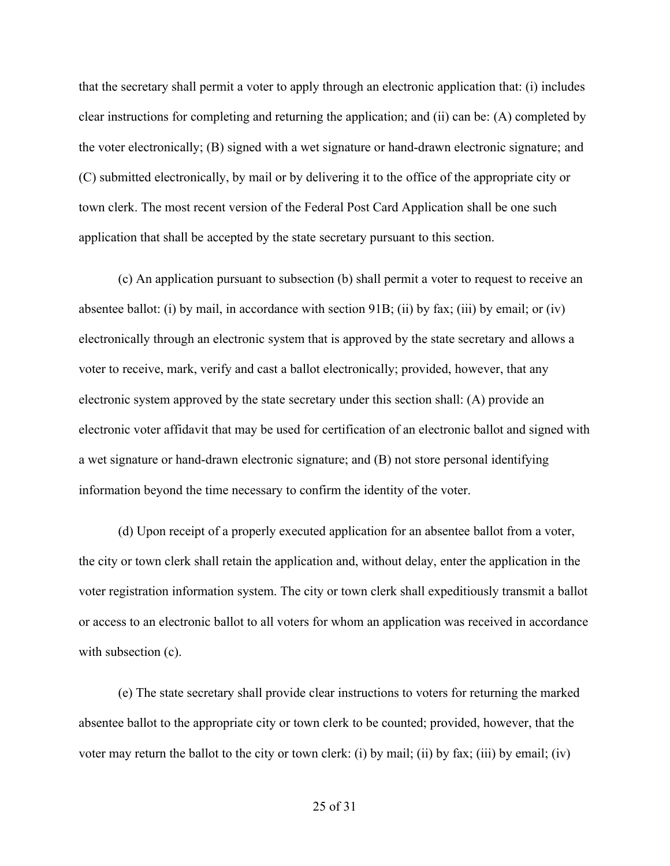that the secretary shall permit a voter to apply through an electronic application that: (i) includes clear instructions for completing and returning the application; and (ii) can be: (A) completed by the voter electronically; (B) signed with a wet signature or hand-drawn electronic signature; and (C) submitted electronically, by mail or by delivering it to the office of the appropriate city or town clerk. The most recent version of the Federal Post Card Application shall be one such application that shall be accepted by the state secretary pursuant to this section.  

(c) An application pursuant to subsection (b) shall permit a voter to request to receive an absentee ballot: (i) by mail, in accordance with section 91B; (ii) by fax; (iii) by email; or (iv) electronically through an electronic system that is approved by the state secretary and allows a voter to receive, mark, verify and cast a ballot electronically; provided, however, that any electronic system approved by the state secretary under this section shall: (A) provide an electronic voter affidavit that may be used for certification of an electronic ballot and signed with a wet signature or hand-drawn electronic signature; and (B) not store personal identifying information beyond the time necessary to confirm the identity of the voter. 

(d) Upon receipt of a properly executed application for an absentee ballot from a voter, the city or town clerk shall retain the application and, without delay, enter the application in the voter registration information system. The city or town clerk shall expeditiously transmit a ballot or access to an electronic ballot to all voters for whom an application was received in accordance with subsection (c).

(e) The state secretary shall provide clear instructions to voters for returning the marked absentee ballot to the appropriate city or town clerk to be counted; provided, however, that the voter may return the ballot to the city or town clerk: (i) by mail; (ii) by fax; (iii) by email; (iv)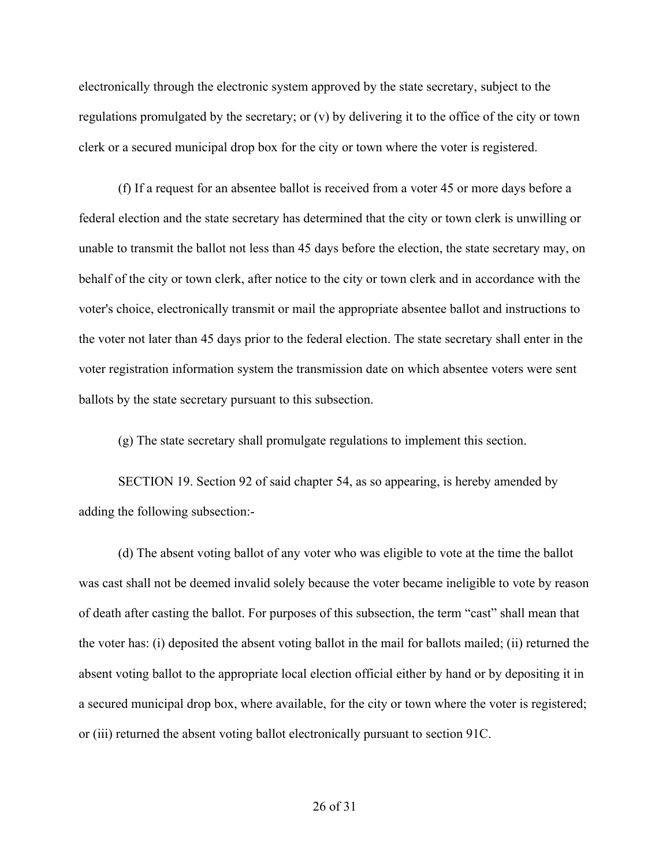electronically through the electronic system approved by the state secretary, subject to the regulations promulgated by the secretary; or (v) by delivering it to the office of the city or town clerk or a secured municipal drop box for the city or town where the voter is registered.

(f) If a request for an absentee ballot is received from a voter 45 or more days before a federal election and the state secretary has determined that the city or town clerk is unwilling or unable to transmit the ballot not less than 45 days before the election, the state secretary may, on behalf of the city or town clerk, after notice to the city or town clerk and in accordance with the voter's choice, electronically transmit or mail the appropriate absentee ballot and instructions to the voter not later than 45 days prior to the federal election. The state secretary shall enter in the voter registration information system the transmission date on which absentee voters were sent ballots by the state secretary pursuant to this subsection.   

(g) The state secretary shall promulgate regulations to implement this section.  

SECTION 19. Section 92 of said chapter 54, as so appearing, is hereby amended by adding the following subsection:- 

(d) The absent voting ballot of any voter who was eligible to vote at the time the ballot was cast shall not be deemed invalid solely because the voter became ineligible to vote by reason of death after casting the ballot. For purposes of this subsection, the term "cast" shall mean that the voter has: (i) deposited the absent voting ballot in the mail for ballots mailed; (ii) returned the absent voting ballot to the appropriate local election official either by hand or by depositing it in a secured municipal drop box, where available, for the city or town where the voter is registered; or (iii) returned the absent voting ballot electronically pursuant to section 91C.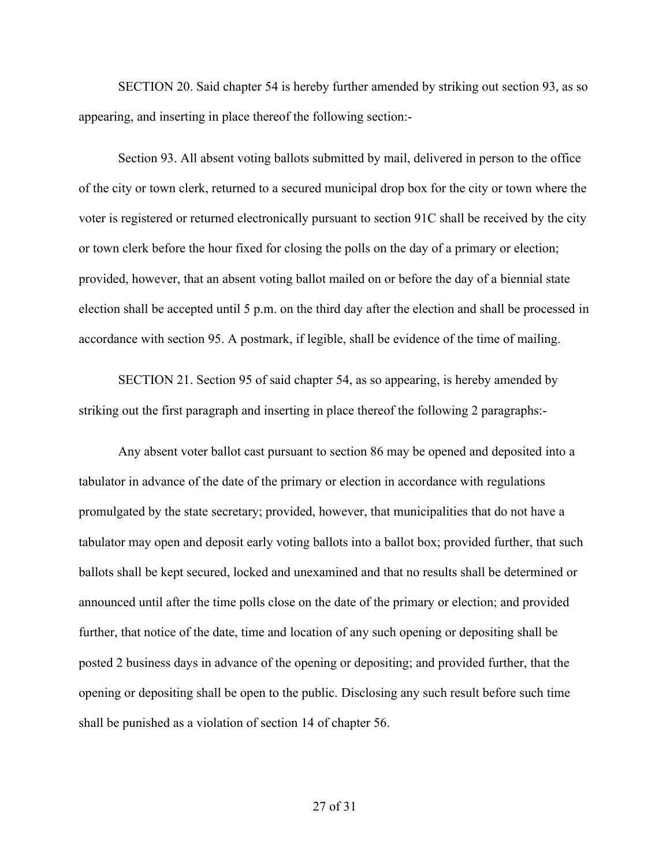SECTION 20. Said chapter 54 is hereby further amended by striking out section 93, as so appearing, and inserting in place thereof the following section:- 

Section 93. All absent voting ballots submitted by mail, delivered in person to the office of the city or town clerk, returned to a secured municipal drop box for the city or town where the voter is registered or returned electronically pursuant to section 91C shall be received by the city or town clerk before the hour fixed for closing the polls on the day of a primary or election; provided, however, that an absent voting ballot mailed on or before the day of a biennial state election shall be accepted until 5 p.m. on the third day after the election and shall be processed in accordance with section 95. A postmark, if legible, shall be evidence of the time of mailing.  

SECTION 21. Section 95 of said chapter 54, as so appearing, is hereby amended by striking out the first paragraph and inserting in place thereof the following 2 paragraphs:- 

Any absent voter ballot cast pursuant to section 86 may be opened and deposited into a tabulator in advance of the date of the primary or election in accordance with regulations promulgated by the state secretary; provided, however, that municipalities that do not have a tabulator may open and deposit early voting ballots into a ballot box; provided further, that such ballots shall be kept secured, locked and unexamined and that no results shall be determined or announced until after the time polls close on the date of the primary or election; and provided further, that notice of the date, time and location of any such opening or depositing shall be posted 2 business days in advance of the opening or depositing; and provided further, that the opening or depositing shall be open to the public. Disclosing any such result before such time shall be punished as a violation of section 14 of chapter 56.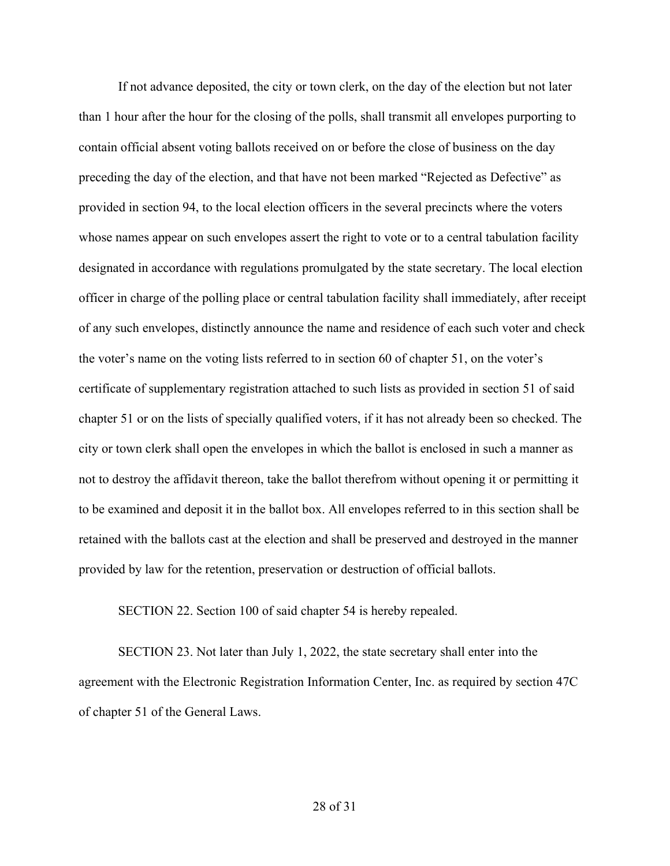If not advance deposited, the city or town clerk, on the day of the election but not later than 1 hour after the hour for the closing of the polls, shall transmit all envelopes purporting to contain official absent voting ballots received on or before the close of business on the day preceding the day of the election, and that have not been marked "Rejected as Defective" as provided in section 94, to the local election officers in the several precincts where the voters whose names appear on such envelopes assert the right to vote or to a central tabulation facility designated in accordance with regulations promulgated by the state secretary. The local election officer in charge of the polling place or central tabulation facility shall immediately, after receipt of any such envelopes, distinctly announce the name and residence of each such voter and check the voter's name on the voting lists referred to in section 60 of chapter 51, on the voter's certificate of supplementary registration attached to such lists as provided in section 51 of said chapter 51 or on the lists of specially qualified voters, if it has not already been so checked. The city or town clerk shall open the envelopes in which the ballot is enclosed in such a manner as not to destroy the affidavit thereon, take the ballot therefrom without opening it or permitting it to be examined and deposit it in the ballot box. All envelopes referred to in this section shall be retained with the ballots cast at the election and shall be preserved and destroyed in the manner provided by law for the retention, preservation or destruction of official ballots. 

SECTION 22. Section 100 of said chapter 54 is hereby repealed.

SECTION 23. Not later than July 1, 2022, the state secretary shall enter into the agreement with the Electronic Registration Information Center, Inc. as required by section 47C of chapter 51 of the General Laws.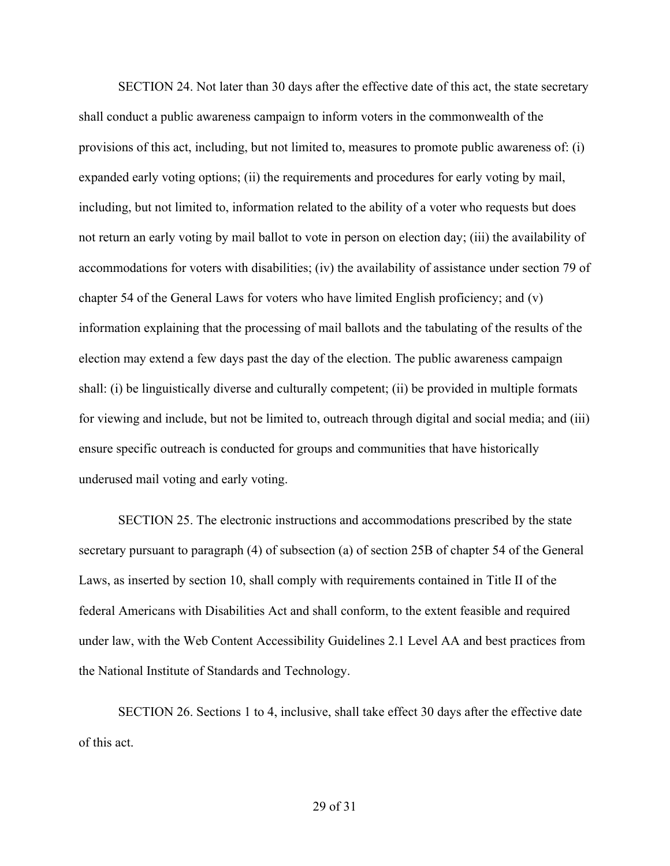SECTION 24. Not later than 30 days after the effective date of this act, the state secretary shall conduct a public awareness campaign to inform voters in the commonwealth of the provisions of this act, including, but not limited to, measures to promote public awareness of: (i) expanded early voting options; (ii) the requirements and procedures for early voting by mail, including, but not limited to, information related to the ability of a voter who requests but does not return an early voting by mail ballot to vote in person on election day; (iii) the availability of accommodations for voters with disabilities; (iv) the availability of assistance under section 79 of chapter 54 of the General Laws for voters who have limited English proficiency; and (v) information explaining that the processing of mail ballots and the tabulating of the results of the election may extend a few days past the day of the election. The public awareness campaign shall: (i) be linguistically diverse and culturally competent; (ii) be provided in multiple formats for viewing and include, but not be limited to, outreach through digital and social media; and (iii) ensure specific outreach is conducted for groups and communities that have historically underused mail voting and early voting. 

SECTION 25. The electronic instructions and accommodations prescribed by the state secretary pursuant to paragraph (4) of subsection (a) of section 25B of chapter 54 of the General Laws, as inserted by section 10, shall comply with requirements contained in Title II of the federal Americans with Disabilities Act and shall conform, to the extent feasible and required under law, with the Web Content Accessibility Guidelines 2.1 Level AA and best practices from the National Institute of Standards and Technology. 

SECTION 26. Sections 1 to 4, inclusive, shall take effect 30 days after the effective date of this act.